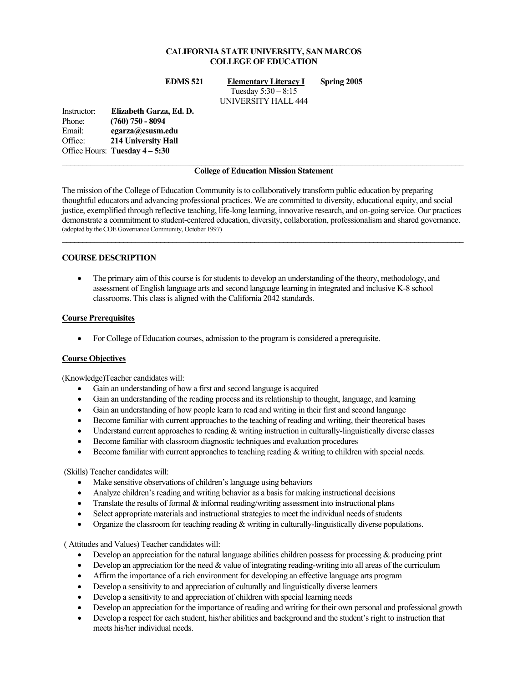## **CALIFORNIA STATE UNIVERSITY, SAN MARCOS COLLEGE OF EDUCATION**

**EDMS 521 Elementary Literacy I Spring 2005** 

Tuesday 5:30 – 8:15 UNIVERSITY HALL 444

Instructor: **Elizabeth Garza, Ed. D.**  Phone: **(760) 750 - 8094**  Email: **egarza@csusm.edu** Office: **214 University Hall**  Office Hours: **Tuesday 4 – 5:30**

## **College of Education Mission Statement**

The mission of the College of Education Community is to collaboratively transform public education by preparing thoughtful educators and advancing professional practices. We are committed to diversity, educational equity, and social justice, exemplified through reflective teaching, life-long learning, innovative research, and on-going service. Our practices demonstrate a commitment to student-centered education, diversity, collaboration, professionalism and shared governance. (adopted by the COE Governance Community, October 1997)  $\mathcal{L}_\mathcal{L} = \{ \mathcal{L}_\mathcal{L} = \{ \mathcal{L}_\mathcal{L} = \{ \mathcal{L}_\mathcal{L} = \{ \mathcal{L}_\mathcal{L} = \{ \mathcal{L}_\mathcal{L} = \{ \mathcal{L}_\mathcal{L} = \{ \mathcal{L}_\mathcal{L} = \{ \mathcal{L}_\mathcal{L} = \{ \mathcal{L}_\mathcal{L} = \{ \mathcal{L}_\mathcal{L} = \{ \mathcal{L}_\mathcal{L} = \{ \mathcal{L}_\mathcal{L} = \{ \mathcal{L}_\mathcal{L} = \{ \mathcal{L}_\mathcal{$ 

## **COURSE DESCRIPTION**

• The primary aim of this course is for students to develop an understanding of the theory, methodology, and assessment of English language arts and second language learning in integrated and inclusive K-8 school classrooms. This class is aligned with the California 2042 standards.

### **Course Prerequisites**

• For College of Education courses, admission to the program is considered a prerequisite.

### **Course Objectives**

(Knowledge)Teacher candidates will:

- Gain an understanding of how a first and second language is acquired
- Gain an understanding of the reading process and its relationship to thought, language, and learning
- Gain an understanding of how people learn to read and writing in their first and second language
- Become familiar with current approaches to the teaching of reading and writing, their theoretical bases
- Understand current approaches to reading & writing instruction in culturally-linguistically diverse classes
- Become familiar with classroom diagnostic techniques and evaluation procedures
- Become familiar with current approaches to teaching reading  $\&$  writing to children with special needs.

### (Skills) Teacher candidates will:

- Make sensitive observations of children's language using behaviors
- Analyze children's reading and writing behavior as a basis for making instructional decisions
- Translate the results of formal  $\&$  informal reading/writing assessment into instructional plans
- Select appropriate materials and instructional strategies to meet the individual needs of students
- Organize the classroom for teaching reading  $\&$  writing in culturally-linguistically diverse populations.

( Attitudes and Values) Teacher candidates will:

- Develop an appreciation for the natural language abilities children possess for processing & producing print
- Develop an appreciation for the need & value of integrating reading-writing into all areas of the curriculum
- Affirm the importance of a rich environment for developing an effective language arts program
- Develop a sensitivity to and appreciation of culturally and linguistically diverse learners
- Develop a sensitivity to and appreciation of children with special learning needs
- Develop an appreciation for the importance of reading and writing for their own personal and professional growth
- Develop a respect for each student, his/her abilities and background and the student's right to instruction that meets his/her individual needs.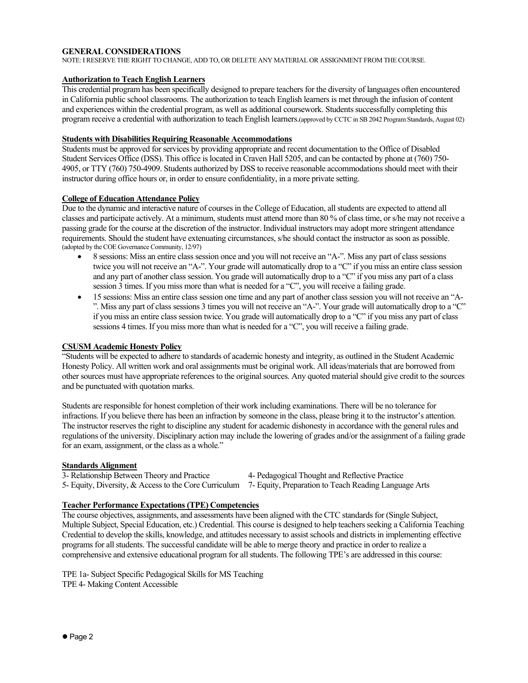## **GENERAL CONSIDERATIONS**

NOTE: I RESERVE THE RIGHT TO CHANGE, ADD TO, OR DELETE ANY MATERIAL OR ASSIGNMENT FROM THE COURSE.

## **Authorization to Teach English Learners**

This credential program has been specifically designed to prepare teachers for the diversity of languages often encountered in California public school classrooms. The authorization to teach English learners is met through the infusion of content and experiences within the credential program, as well as additional coursework. Students successfully completing this program receive a credential with authorization to teach English learners.(approved by CCTC in SB 2042 Program Standards, August 02)

## **Students with Disabilities Requiring Reasonable Accommodations**

Students must be approved for services by providing appropriate and recent documentation to the Office of Disabled Student Services Office (DSS). This office is located in Craven Hall 5205, and can be contacted by phone at (760) 750- 4905, or TTY (760) 750-4909. Students authorized by DSS to receive reasonable accommodations should meet with their instructor during office hours or, in order to ensure confidentiality, in a more private setting.

### **College of Education Attendance Policy**

Due to the dynamic and interactive nature of courses in the College of Education, all students are expected to attend all classes and participate actively. At a minimum, students must attend more than 80 % of class time, or s/he may not receive a passing grade for the course at the discretion of the instructor. Individual instructors may adopt more stringent attendance requirements. Should the student have extenuating circumstances, s/he should contact the instructor as soon as possible. (adopted by the COE Governance Community, 12/97)

- 8 sessions: Miss an entire class session once and you will not receive an "A-". Miss any part of class sessions twice you will not receive an "A-". Your grade will automatically drop to a "C" if you miss an entire class session and any part of another class session. You grade will automatically drop to a "C" if you miss any part of a class session 3 times. If you miss more than what is needed for a "C", you will receive a failing grade.
- 15 sessions: Miss an entire class session one time and any part of another class session you will not receive an "A- ". Miss any part of class sessions 3 times you will not receive an "A-". Your grade will automatically drop to a "C" if you miss an entire class session twice. You grade will automatically drop to a "C" if you miss any part of class sessions 4 times. If you miss more than what is needed for a "C", you will receive a failing grade.

## **CSUSM Academic Honesty Policy**

"Students will be expected to adhere to standards of academic honesty and integrity, as outlined in the Student Academic Honesty Policy. All written work and oral assignments must be original work. All ideas/materials that are borrowed from other sources must have appropriate references to the original sources. Any quoted material should give credit to the sources and be punctuated with quotation marks.

Students are responsible for honest completion of their work including examinations. There will be no tolerance for infractions. If you believe there has been an infraction by someone in the class, please bring it to the instructor's attention. The instructor reserves the right to discipline any student for academic dishonesty in accordance with the general rules and regulations of the university. Disciplinary action may include the lowering of grades and/or the assignment of a failing grade for an exam, assignment, or the class as a whole."

## **Standards Alignment**

3- Relationship Between Theory and Practice 4- Pedagogical Thought and Reflective Practice 5- Equity, Diversity, & Access to the Core Curriculum 7- Equity, Preparation to Teach Reading Language Arts

## **Teacher Performance Expectations (TPE) Competencies**

The course objectives, assignments, and assessments have been aligned with the CTC standards for (Single Subject, Multiple Subject, Special Education, etc.) Credential. This course is designed to help teachers seeking a California Teaching Credential to develop the skills, knowledge, and attitudes necessary to assist schools and districts in implementing effective programs for all students. The successful candidate will be able to merge theory and practice in order to realize a comprehensive and extensive educational program for all students. The following TPE's are addressed in this course:

TPE 1a- Subject Specific Pedagogical Skills for MS Teaching TPE 4- Making Content Accessible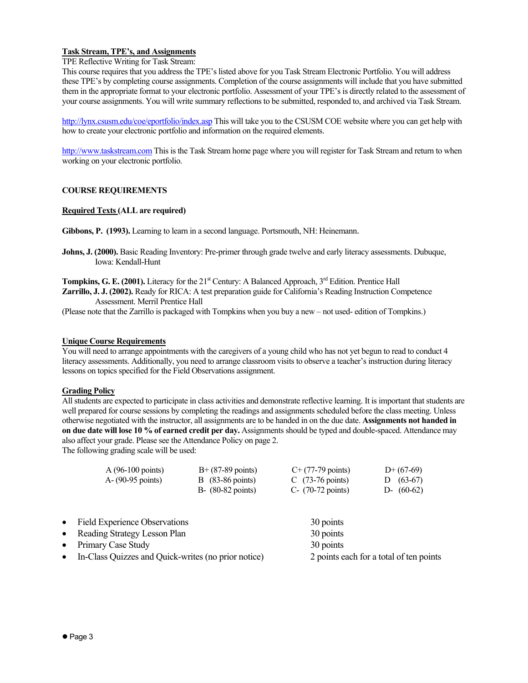## **Task Stream, TPE's, and Assignments**

## TPE Reflective Writing for Task Stream:

This course requires that you address the TPE's listed above for you Task Stream Electronic Portfolio. You will address these TPE's by completing course assignments. Completion of the course assignments will include that you have submitted them in the appropriate format to your electronic portfolio. Assessment of your TPE's is directly related to the assessment of your course assignments. You will write summary reflections to be submitted, responded to, and archived via Task Stream.

http://lynx.csusm.edu/coe/eportfolio/index.asp This will take you to the CSUSM COE website where you can get help with how to create your electronic portfolio and information on the required elements.

http://www.taskstream.com This is the Task Stream home page where you will register for Task Stream and return to when working on your electronic portfolio.

## **COURSE REQUIREMENTS**

## **Required Texts (ALL are required)**

**Gibbons, P. (1993).** Learning to learn in a second language. Portsmouth, NH: Heinemann.

**Johns, J. (2000).** Basic Reading Inventory: Pre-primer through grade twelve and early literacy assessments. Dubuque, Iowa: Kendall-Hunt

Tompkins, G. E. (2001). Literacy for the 21<sup>st</sup> Century: A Balanced Approach, 3<sup>rd</sup> Edition. Prentice Hall **Zarrillo, J. J. (2002).** Ready for RICA: A test preparation guide for California's Reading Instruction Competence Assessment. Merril Prentice Hall

(Please note that the Zarrillo is packaged with Tompkins when you buy a new – not used- edition of Tompkins.)

## **Unique Course Requirements**

You will need to arrange appointments with the caregivers of a young child who has not yet begun to read to conduct 4 literacy assessments. Additionally, you need to arrange classroom visits to observe a teacher's instruction during literacy lessons on topics specified for the Field Observations assignment.

## **Grading Policy**

All students are expected to participate in class activities and demonstrate reflective learning. It is important that students are well prepared for course sessions by completing the readings and assignments scheduled before the class meeting. Unless otherwise negotiated with the instructor, all assignments are to be handed in on the due date. **Assignments not handed in on due date will lose 10 % of earned credit per day.** Assignments should be typed and double-spaced. Attendance may also affect your grade. Please see the Attendance Policy on page 2.

The following grading scale will be used:

| $A(96-100 \text{ points})$   | $B+ (87-89 \text{ points})$  | $C+$ (77-79 points)        | $D+(67-69)$  |
|------------------------------|------------------------------|----------------------------|--------------|
| $A - (90-95 \text{ points})$ | $\vert$ B (83-86 points)     | C $(73-76 \text{ points})$ | $D(63-67)$   |
|                              | $B - (80-82 \text{ points})$ | $C-$ (70-72 points)        | $D-$ (60-62) |

| 30 points                                                                                                       |                                                                                         |
|-----------------------------------------------------------------------------------------------------------------|-----------------------------------------------------------------------------------------|
| 30 points                                                                                                       |                                                                                         |
|                                                                                                                 |                                                                                         |
| • Reading Strategy Lesson Plan<br>• Primary Case Study<br>• In-Class Quizzes and Quick-writes (no prior notice) | • Field Experience Observations<br>30 points<br>2 points each for a total of ten points |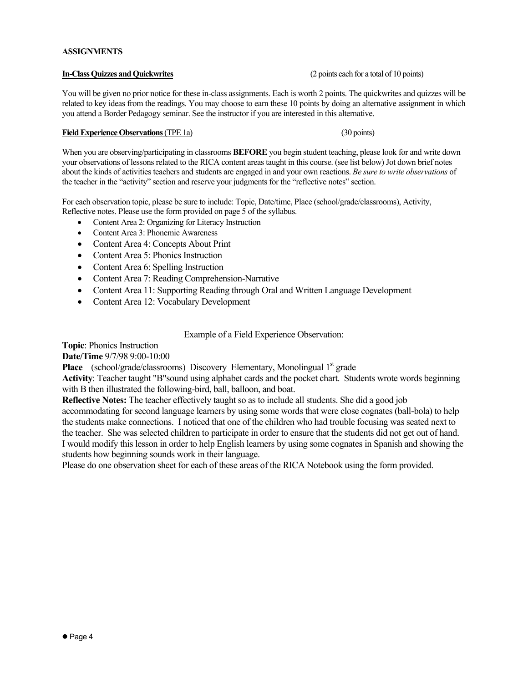# **In-Class Quizzes and Quickwrites** (2 points each for a total of 10 points)

**ASSIGNMENTS** 

You will be given no prior notice for these in-class assignments. Each is worth 2 points. The quickwrites and quizzes will be related to key ideas from the readings. You may choose to earn these 10 points by doing an alternative assignment in which you attend a Border Pedagogy seminar. See the instructor if you are interested in this alternative.

## **Field Experience Observations** (TPE 1a) (30 points)

When you are observing/participating in classrooms **BEFORE** you begin student teaching, please look for and write down your observations of lessons related to the RICA content areas taught in this course. (see list below) Jot down brief notes about the kinds of activities teachers and students are engaged in and your own reactions. *Be sure to write observations* of the teacher in the "activity" section and reserve your judgments for the "reflective notes" section.

For each observation topic, please be sure to include: Topic, Date/time, Place (school/grade/classrooms), Activity, Reflective notes. Please use the form provided on page 5 of the syllabus.

- Content Area 2: Organizing for Literacy Instruction
- Content Area 3: Phonemic Awareness
- Content Area 4: Concepts About Print
- Content Area 5: Phonics Instruction
- Content Area 6: Spelling Instruction
- Content Area 7: Reading Comprehension-Narrative
- Content Area 11: Supporting Reading through Oral and Written Language Development
- Content Area 12: Vocabulary Development

## Example of a Field Experience Observation:

**Topic**: Phonics Instruction

**Date/Time** 9/7/98 9:00-10:00

**Place** (school/grade/classrooms) Discovery Elementary, Monolingual 1<sup>st</sup> grade

**Activity**: Teacher taught "B"sound using alphabet cards and the pocket chart. Students wrote words beginning with B then illustrated the following-bird, ball, balloon, and boat.

**Reflective Notes:** The teacher effectively taught so as to include all students. She did a good job

accommodating for second language learners by using some words that were close cognates (ball-bola) to help the students make connections. I noticed that one of the children who had trouble focusing was seated next to the teacher. She was selected children to participate in order to ensure that the students did not get out of hand. I would modify this lesson in order to help English learners by using some cognates in Spanish and showing the students how beginning sounds work in their language.

Please do one observation sheet for each of these areas of the RICA Notebook using the form provided.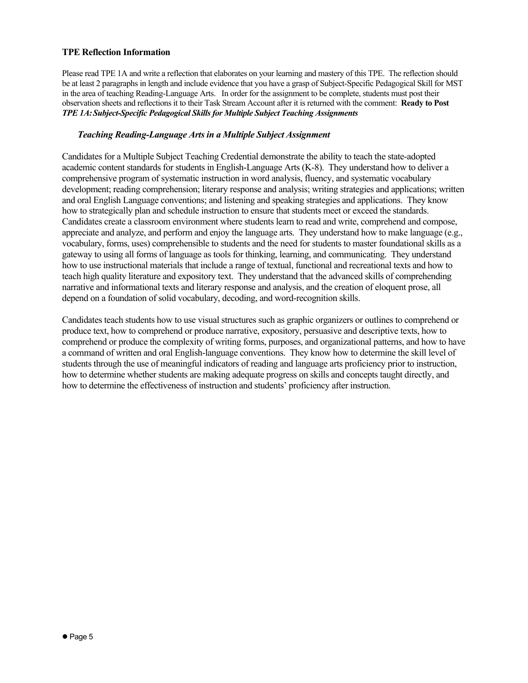## **TPE Reflection Information**

Please read TPE 1A and write a reflection that elaborates on your learning and mastery of this TPE. The reflection should be at least 2 paragraphs in length and include evidence that you have a grasp of Subject-Specific Pedagogical Skill for MST in the area of teaching Reading-Language Arts. In order for the assignment to be complete, students must post their observation sheets and reflections it to their Task Stream Account after it is returned with the comment: **Ready to Post**  *TPE 1A: Subject-Specific Pedagogical Skills for Multiple Subject Teaching Assignments* 

## *Teaching Reading-Language Arts in a Multiple Subject Assignment*

Candidates for a Multiple Subject Teaching Credential demonstrate the ability to teach the state-adopted academic content standards for students in English-Language Arts (K-8). They understand how to deliver a comprehensive program of systematic instruction in word analysis, fluency, and systematic vocabulary development; reading comprehension; literary response and analysis; writing strategies and applications; written and oral English Language conventions; and listening and speaking strategies and applications. They know how to strategically plan and schedule instruction to ensure that students meet or exceed the standards. Candidates create a classroom environment where students learn to read and write, comprehend and compose, appreciate and analyze, and perform and enjoy the language arts. They understand how to make language (e.g., vocabulary, forms, uses) comprehensible to students and the need for students to master foundational skills as a gateway to using all forms of language as tools for thinking, learning, and communicating. They understand how to use instructional materials that include a range of textual, functional and recreational texts and how to teach high quality literature and expository text. They understand that the advanced skills of comprehending narrative and informational texts and literary response and analysis, and the creation of eloquent prose, all depend on a foundation of solid vocabulary, decoding, and word-recognition skills.

Candidates teach students how to use visual structures such as graphic organizers or outlines to comprehend or produce text, how to comprehend or produce narrative, expository, persuasive and descriptive texts, how to comprehend or produce the complexity of writing forms, purposes, and organizational patterns, and how to have a command of written and oral English-language conventions. They know how to determine the skill level of students through the use of meaningful indicators of reading and language arts proficiency prior to instruction, how to determine whether students are making adequate progress on skills and concepts taught directly, and how to determine the effectiveness of instruction and students' proficiency after instruction.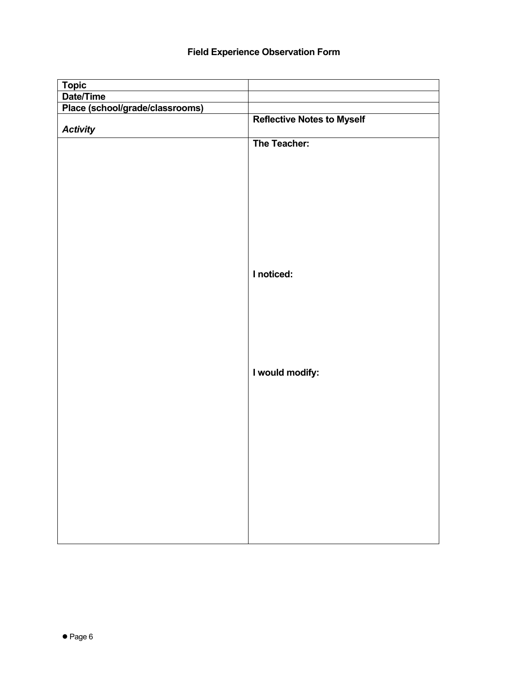## **Field Experience Observation Form**

| <b>Topic</b>                    |                                   |
|---------------------------------|-----------------------------------|
| Date/Time                       |                                   |
| Place (school/grade/classrooms) |                                   |
| <b>Activity</b>                 | <b>Reflective Notes to Myself</b> |
|                                 | The Teacher:                      |
|                                 |                                   |
|                                 |                                   |
|                                 |                                   |
|                                 |                                   |
|                                 |                                   |
|                                 | I noticed:                        |
|                                 |                                   |
|                                 |                                   |
|                                 |                                   |
|                                 | I would modify:                   |
|                                 |                                   |
|                                 |                                   |
|                                 |                                   |
|                                 |                                   |
|                                 |                                   |
|                                 |                                   |
|                                 |                                   |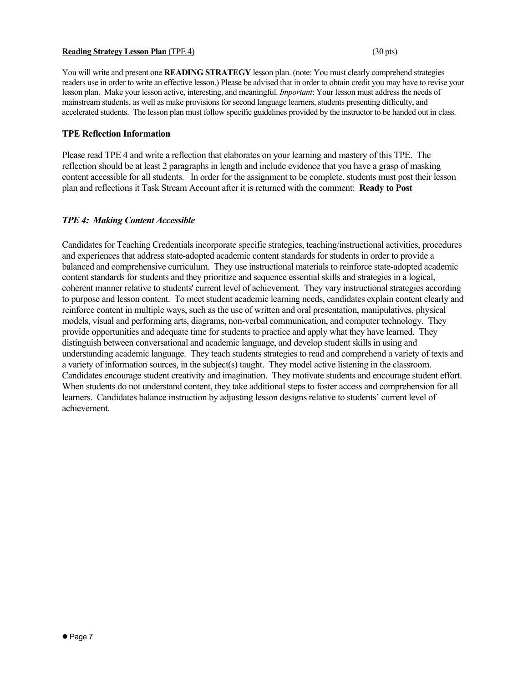## **Reading Strategy Lesson Plan** (TPE 4) (30 pts)

You will write and present one **READING STRATEGY** lesson plan. (note: You must clearly comprehend strategies readers use in order to write an effective lesson.) Please be advised that in order to obtain credit you may have to revise your lesson plan. Make your lesson active, interesting, and meaningful. *Important*: Your lesson must address the needs of mainstream students, as well as make provisions for second language learners, students presenting difficulty, and accelerated students. The lesson plan must follow specific guidelines provided by the instructor to be handed out in class.

## **TPE Reflection Information**

Please read TPE 4 and write a reflection that elaborates on your learning and mastery of this TPE. The reflection should be at least 2 paragraphs in length and include evidence that you have a grasp of masking content accessible for all students. In order for the assignment to be complete, students must post their lesson plan and reflections it Task Stream Account after it is returned with the comment: **Ready to Post**

## *TPE 4: Making Content Accessible*

Candidates for Teaching Credentials incorporate specific strategies, teaching/instructional activities, procedures and experiences that address state-adopted academic content standards for students in order to provide a balanced and comprehensive curriculum. They use instructional materials to reinforce state-adopted academic content standards for students and they prioritize and sequence essential skills and strategies in a logical, coherent manner relative to students' current level of achievement. They vary instructional strategies according to purpose and lesson content. To meet student academic learning needs, candidates explain content clearly and reinforce content in multiple ways, such as the use of written and oral presentation, manipulatives, physical models, visual and performing arts, diagrams, non-verbal communication, and computer technology. They provide opportunities and adequate time for students to practice and apply what they have learned. They distinguish between conversational and academic language, and develop student skills in using and understanding academic language. They teach students strategies to read and comprehend a variety of texts and a variety of information sources, in the subject(s) taught. They model active listening in the classroom. Candidates encourage student creativity and imagination. They motivate students and encourage student effort. When students do not understand content, they take additional steps to foster access and comprehension for all learners. Candidates balance instruction by adjusting lesson designs relative to students' current level of achievement.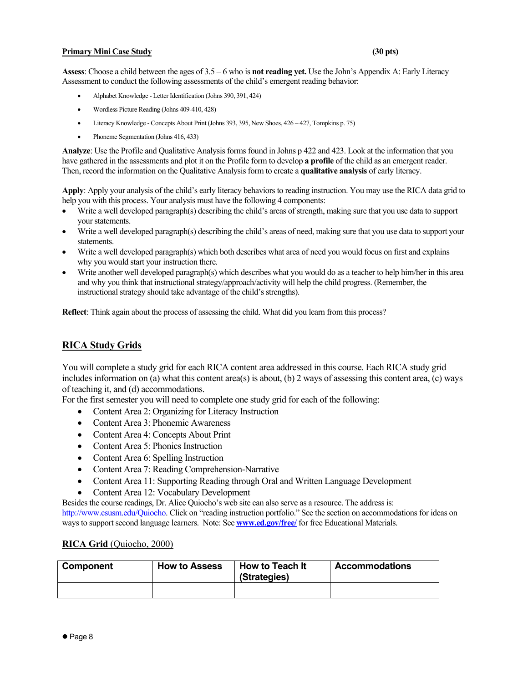## **Primary Mini Case Study (30 pts)**

**Assess**: Choose a child between the ages of 3.5 – 6 who is **not reading yet.** Use the John's Appendix A: Early Literacy Assessment to conduct the following assessments of the child's emergent reading behavior:

- Alphabet Knowledge Letter Identification (Johns 390, 391, 424)
- Wordless Picture Reading (Johns 409-410, 428)
- Literacy Knowledge Concepts About Print (Johns 393, 395, New Shoes, 426 427, Tompkins p. 75)
- Phoneme Segmentation (Johns 416, 433)

**Analyze**: Use the Profile and Qualitative Analysis forms found in Johns p 422 and 423. Look at the information that you have gathered in the assessments and plot it on the Profile form to develop **a profile** of the child as an emergent reader. Then, record the information on the Qualitative Analysis form to create a **qualitative analysis** of early literacy.

**Apply**: Apply your analysis of the child's early literacy behaviors to reading instruction. You may use the RICA data grid to help you with this process. Your analysis must have the following 4 components:

- Write a well developed paragraph(s) describing the child's areas of strength, making sure that you use data to support your statements.
- Write a well developed paragraph(s) describing the child's areas of need, making sure that you use data to support your statements.
- Write a well developed paragraph(s) which both describes what area of need you would focus on first and explains why you would start your instruction there.
- Write another well developed paragraph(s) which describes what you would do as a teacher to help him/her in this area and why you think that instructional strategy/approach/activity will help the child progress. (Remember, the instructional strategy should take advantage of the child's strengths).

**Reflect**: Think again about the process of assessing the child. What did you learn from this process?

## **RICA Study Grids**

You will complete a study grid for each RICA content area addressed in this course. Each RICA study grid includes information on (a) what this content area(s) is about, (b) 2 ways of assessing this content area, (c) ways of teaching it, and (d) accommodations.

For the first semester you will need to complete one study grid for each of the following:

- Content Area 2: Organizing for Literacy Instruction
- Content Area 3: Phonemic Awareness
- Content Area 4: Concepts About Print
- Content Area 5: Phonics Instruction
- Content Area 6: Spelling Instruction
- Content Area 7: Reading Comprehension-Narrative
- Content Area 11: Supporting Reading through Oral and Written Language Development
- Content Area 12: Vocabulary Development

Besides the course readings, Dr. Alice Quiocho's web site can also serve as a resource. The address is:

http://www.csusm.edu/Quiocho. Click on "reading instruction portfolio." See the section on accommodations for ideas on ways to support second language learners. Note: See **www.ed.gov/free/** for free Educational Materials.

### **RICA Grid** (Quiocho, 2000)

| Component | <b>How to Assess</b> | How to Teach It<br>(Strategies) | <b>Accommodations</b> |
|-----------|----------------------|---------------------------------|-----------------------|
|           |                      |                                 |                       |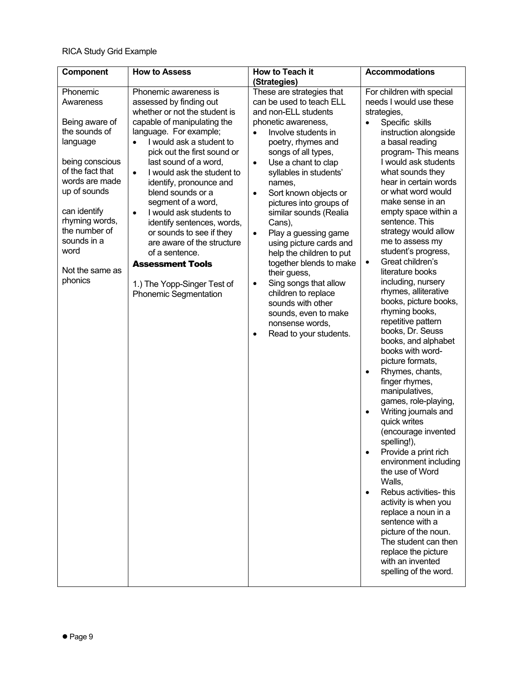| Component                                                                                                                                                                                                                                             | <b>How to Assess</b>                                                                                                                                                                                                                                                                                                                                                                                                                                                                                                                                                                 | How to Teach it<br>(Strategies)                                                                                                                                                                                                                                                                                                                                                                                                                                                                                                                                                                                                                                               | <b>Accommodations</b>                                                                                                                                                                                                                                                                                                                                                                                                                                                                                                                                                                                                                                                                                                                                                                                                                                                                                                                                                                                                                                                                                                                                    |
|-------------------------------------------------------------------------------------------------------------------------------------------------------------------------------------------------------------------------------------------------------|--------------------------------------------------------------------------------------------------------------------------------------------------------------------------------------------------------------------------------------------------------------------------------------------------------------------------------------------------------------------------------------------------------------------------------------------------------------------------------------------------------------------------------------------------------------------------------------|-------------------------------------------------------------------------------------------------------------------------------------------------------------------------------------------------------------------------------------------------------------------------------------------------------------------------------------------------------------------------------------------------------------------------------------------------------------------------------------------------------------------------------------------------------------------------------------------------------------------------------------------------------------------------------|----------------------------------------------------------------------------------------------------------------------------------------------------------------------------------------------------------------------------------------------------------------------------------------------------------------------------------------------------------------------------------------------------------------------------------------------------------------------------------------------------------------------------------------------------------------------------------------------------------------------------------------------------------------------------------------------------------------------------------------------------------------------------------------------------------------------------------------------------------------------------------------------------------------------------------------------------------------------------------------------------------------------------------------------------------------------------------------------------------------------------------------------------------|
| Phonemic<br>Awareness<br>Being aware of<br>the sounds of<br>language<br>being conscious<br>of the fact that<br>words are made<br>up of sounds<br>can identify<br>rhyming words,<br>the number of<br>sounds in a<br>word<br>Not the same as<br>phonics | Phonemic awareness is<br>assessed by finding out<br>whether or not the student is<br>capable of manipulating the<br>language. For example;<br>I would ask a student to<br>pick out the first sound or<br>last sound of a word,<br>I would ask the student to<br>$\bullet$<br>identify, pronounce and<br>blend sounds or a<br>segment of a word,<br>I would ask students to<br>$\bullet$<br>identify sentences, words,<br>or sounds to see if they<br>are aware of the structure<br>of a sentence.<br><b>Assessment Tools</b><br>1.) The Yopp-Singer Test of<br>Phonemic Segmentation | These are strategies that<br>can be used to teach ELL<br>and non-ELL students<br>phonetic awareness,<br>Involve students in<br>$\bullet$<br>poetry, rhymes and<br>songs of all types,<br>Use a chant to clap<br>$\bullet$<br>syllables in students'<br>names,<br>Sort known objects or<br>$\bullet$<br>pictures into groups of<br>similar sounds (Realia<br>Cans),<br>Play a guessing game<br>$\bullet$<br>using picture cards and<br>help the children to put<br>together blends to make<br>their guess,<br>Sing songs that allow<br>$\bullet$<br>children to replace<br>sounds with other<br>sounds, even to make<br>nonsense words,<br>Read to your students.<br>$\bullet$ | For children with special<br>needs I would use these<br>strategies,<br>Specific skills<br>$\bullet$<br>instruction alongside<br>a basal reading<br>program-This means<br>I would ask students<br>what sounds they<br>hear in certain words<br>or what word would<br>make sense in an<br>empty space within a<br>sentence. This<br>strategy would allow<br>me to assess my<br>student's progress,<br>Great children's<br>$\bullet$<br>literature books<br>including, nursery<br>rhymes, alliterative<br>books, picture books,<br>rhyming books,<br>repetitive pattern<br>books, Dr. Seuss<br>books, and alphabet<br>books with word-<br>picture formats,<br>Rhymes, chants,<br>$\bullet$<br>finger rhymes,<br>manipulatives,<br>games, role-playing,<br>Writing journals and<br>$\bullet$<br>quick writes<br>(encourage invented<br>spelling!),<br>Provide a print rich<br>environment including<br>the use of Word<br>Walls,<br>Rebus activities-this<br>$\bullet$<br>activity is when you<br>replace a noun in a<br>sentence with a<br>picture of the noun.<br>The student can then<br>replace the picture<br>with an invented<br>spelling of the word. |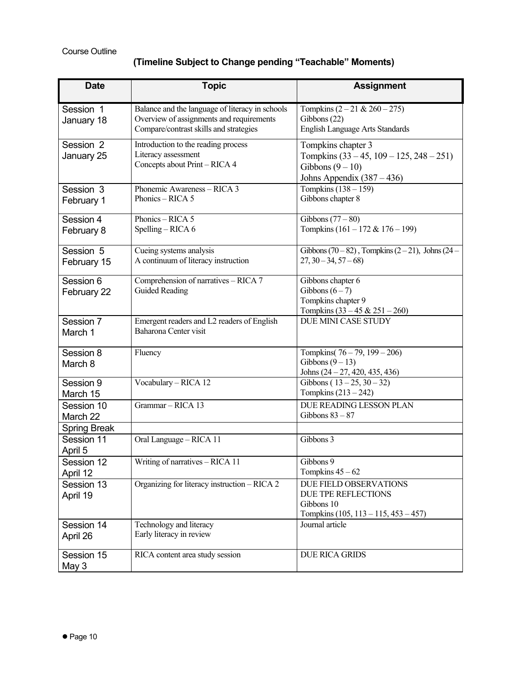# **(Timeline Subject to Change pending "Teachable" Moments)**

| <b>Date</b>                                  | <b>Topic</b>                                                                                                                          | <b>Assignment</b>                                                                                                    |
|----------------------------------------------|---------------------------------------------------------------------------------------------------------------------------------------|----------------------------------------------------------------------------------------------------------------------|
| Session 1<br>January 18                      | Balance and the language of literacy in schools<br>Overview of assignments and requirements<br>Compare/contrast skills and strategies | Tompkins $(2 - 21 & 260 - 275)$<br>Gibbons (22)<br><b>English Language Arts Standards</b>                            |
| Session 2<br>January 25                      | Introduction to the reading process<br>Literacy assessment<br>Concepts about Print - RICA 4                                           | Tompkins chapter 3<br>Tompkins $(33 - 45, 109 - 125, 248 - 251)$<br>Gibbons $(9-10)$<br>Johns Appendix $(387 - 436)$ |
| Session 3<br>February 1                      | Phonemic Awareness - RICA 3<br>Phonics - RICA 5                                                                                       | Tompkins $(138 - 159)$<br>Gibbons chapter 8                                                                          |
| Session 4<br>February 8                      | Phonics - RICA 5<br>Spelling - RICA 6                                                                                                 | Gibbons $(77-80)$<br>Tompkins $(161 - 172 & 176 - 199)$                                                              |
| Session 5<br>February 15                     | Cueing systems analysis<br>A continuum of literacy instruction                                                                        | Gibbons (70 – 82), Tompkins (2 – 21), Johns (24 –<br>$27, 30 - 34, 57 - 68$                                          |
| Session 6<br>February 22                     | Comprehension of narratives - RICA 7<br><b>Guided Reading</b>                                                                         | Gibbons chapter 6<br>Gibbons $(6-7)$<br>Tompkins chapter 9<br>Tompkins $(33 - 45 & 251 - 260)$                       |
| Session 7<br>March 1                         | Emergent readers and L2 readers of English<br>Baharona Center visit                                                                   | <b>DUE MINI CASE STUDY</b>                                                                                           |
| Session 8<br>March 8                         | Fluency                                                                                                                               | Tompkins( $76 - 79$ , $199 - 206$ )<br>Gibbons $(9-13)$<br>Johns $(24 - 27, 420, 435, 436)$                          |
| Session 9<br>March 15                        | Vocabulary - RICA 12                                                                                                                  | Gibbons ( $13 - 25$ , $30 - 32$ )<br>Tompkins $(213 – 242)$                                                          |
| Session 10<br>March 22                       | Grammar - RICA 13                                                                                                                     | DUE READING LESSON PLAN<br>Gibbons $83 - 87$                                                                         |
| <b>Spring Break</b><br>Session 11<br>April 5 | Oral Language - RICA 11                                                                                                               | Gibbons 3                                                                                                            |
| Session 12<br>April 12                       | Writing of narratives - RICA 11                                                                                                       | Gibbons 9<br>Tompkins $45 - 62$                                                                                      |
| Session 13<br>April 19                       | Organizing for literacy instruction - RICA 2                                                                                          | <b>DUE FIELD OBSERVATIONS</b><br>DUE TPE REFLECTIONS<br>Gibbons 10<br>Tompkins $(105, 113 - 115, 453 - 457)$         |
| Session 14<br>April 26                       | Technology and literacy<br>Early literacy in review                                                                                   | Journal article                                                                                                      |
| Session 15<br>May 3                          | RICA content area study session                                                                                                       | DUE RICA GRIDS                                                                                                       |